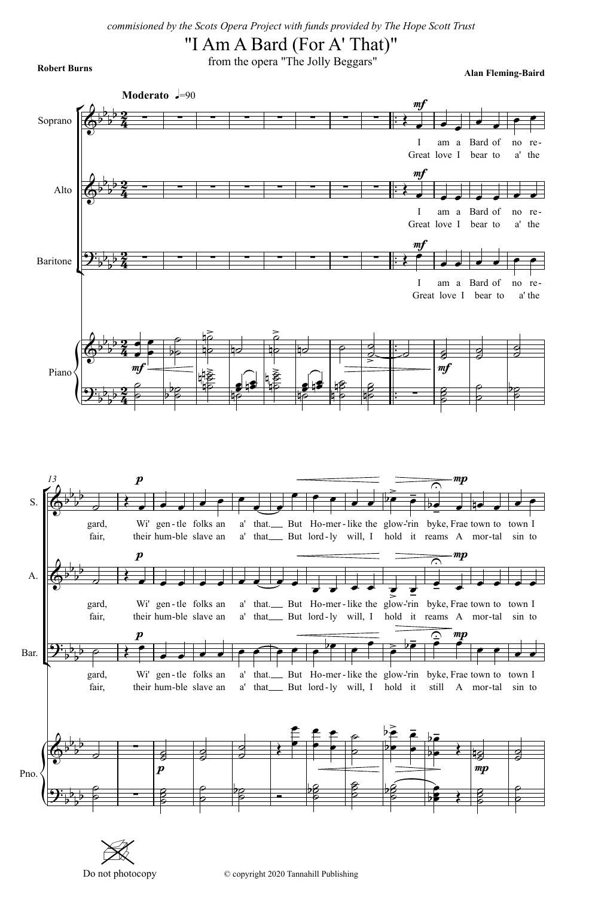## **Robert Burns Robert Burns From the opera** "The Jolly Beggars"

**Alan Fleming-Baird**

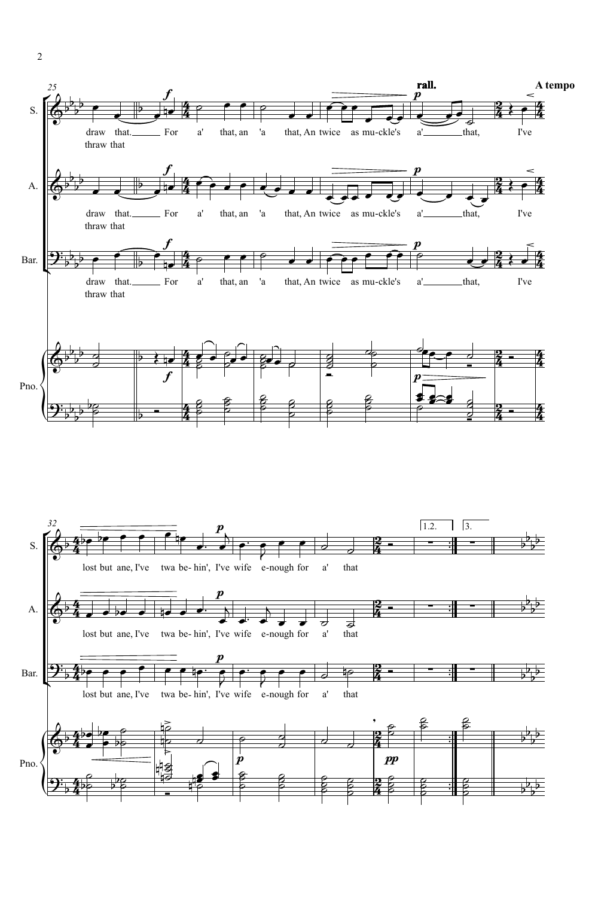

2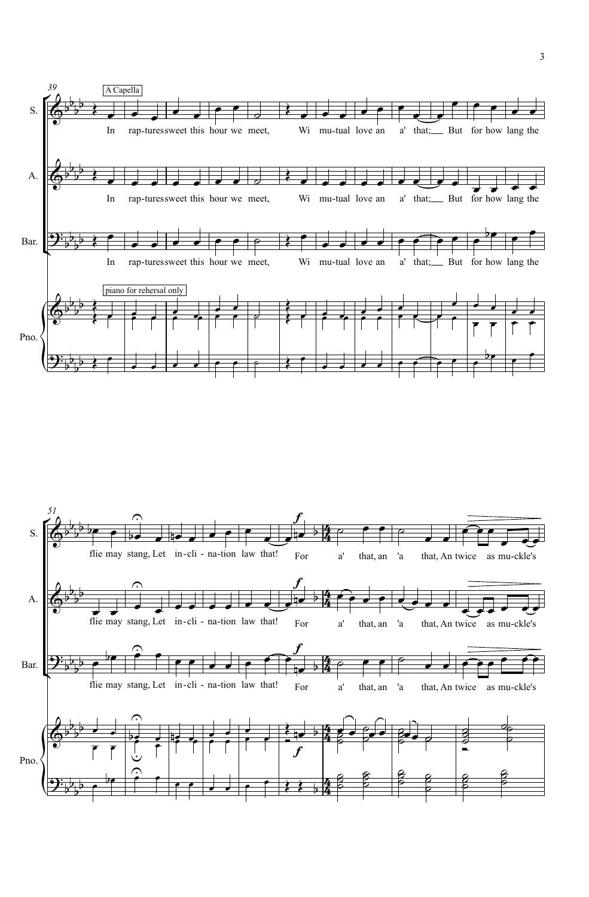